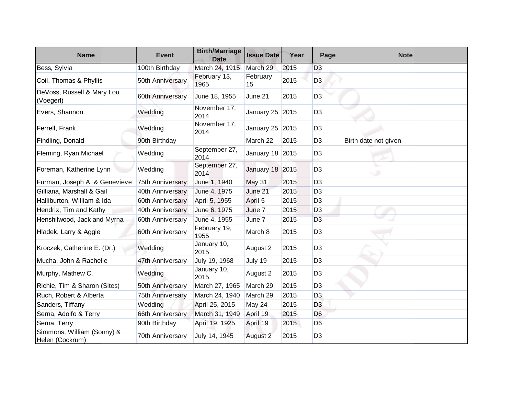| <b>Name</b>                                   | <b>Event</b>     | <b>Birth/Marriage</b><br><b>Date</b> | <b>Issue Date</b> | Year | Page           | <b>Note</b>          |
|-----------------------------------------------|------------------|--------------------------------------|-------------------|------|----------------|----------------------|
| Bess, Sylvia                                  | 100th Birthday   | March 24, 1915                       | March 29          | 2015 | D <sub>3</sub> |                      |
| Coil, Thomas & Phyllis                        | 50th Anniversary | February 13,<br>1965                 | February<br>15    | 2015 | D <sub>3</sub> |                      |
| DeVoss, Russell & Mary Lou<br>(Voegerl)       | 60th Anniversary | June 18, 1955                        | June 21           | 2015 | D <sub>3</sub> |                      |
| Evers, Shannon                                | Wedding          | November 17,<br>2014                 | January 25 2015   |      | D <sub>3</sub> |                      |
| Ferrell, Frank                                | Wedding          | November 17,<br>2014                 | January 25 2015   |      | D <sub>3</sub> |                      |
| Findling, Donald                              | 90th Birthday    |                                      | March 22          | 2015 | D <sub>3</sub> | Birth date not given |
| Fleming, Ryan Michael                         | Wedding          | September 27,<br>2014                | January 18 2015   |      | D <sub>3</sub> |                      |
| Foreman, Katherine Lynn                       | Wedding          | September 27,<br>2014                | January 18 2015   |      | D <sub>3</sub> |                      |
| Furman, Joseph A. & Genevieve                 | 75th Anniversary | June 1, 1940                         | <b>May 31</b>     | 2015 | D <sub>3</sub> |                      |
| Gilliana, Marshall & Gail                     | 40th Anniversary | June 4, 1975                         | June 21           | 2015 | D <sub>3</sub> |                      |
| Halliburton, William & Ida                    | 60th Anniversary | April 5, 1955                        | April 5           | 2015 | D <sub>3</sub> |                      |
| Hendrix, Tim and Kathy                        | 40th Anniversary | June 6, 1975                         | June 7            | 2015 | D <sub>3</sub> |                      |
| Henshilwood, Jack and Myrna                   | 60th Anniversary | June 4, 1955                         | June 7            | 2015 | D <sub>3</sub> |                      |
| Hladek, Larry & Aggie                         | 60th Anniversary | February 19,<br>1955                 | March 8           | 2015 | D <sub>3</sub> |                      |
| Kroczek, Catherine E. (Dr.)                   | Wedding          | January 10,<br>2015                  | August 2          | 2015 | D <sub>3</sub> |                      |
| Mucha, John & Rachelle                        | 47th Anniversary | July 19, 1968                        | July 19           | 2015 | D <sub>3</sub> |                      |
| Murphy, Mathew C.                             | Wedding          | January 10,<br>2015                  | August 2          | 2015 | D <sub>3</sub> |                      |
| Richie, Tim & Sharon (Sites)                  | 50th Anniversary | March 27, 1965                       | March 29          | 2015 | D <sub>3</sub> |                      |
| Ruch, Robert & Alberta                        | 75th Anniversary | March 24, 1940                       | March 29          | 2015 | D <sub>3</sub> |                      |
| Sanders, Tiffany                              | Wedding          | April 25, 2015                       | May 24            | 2015 | D <sub>3</sub> |                      |
| Serna, Adolfo & Terry                         | 66th Anniversary | March 31, 1949                       | April 19          | 2015 | D <sub>6</sub> |                      |
| Serna, Terry                                  | 90th Birthday    | April 19, 1925                       | April 19          | 2015 | D <sub>6</sub> |                      |
| Simmons, William (Sonny) &<br>Helen (Cockrum) | 70th Anniversary | July 14, 1945                        | August 2          | 2015 | D <sub>3</sub> |                      |